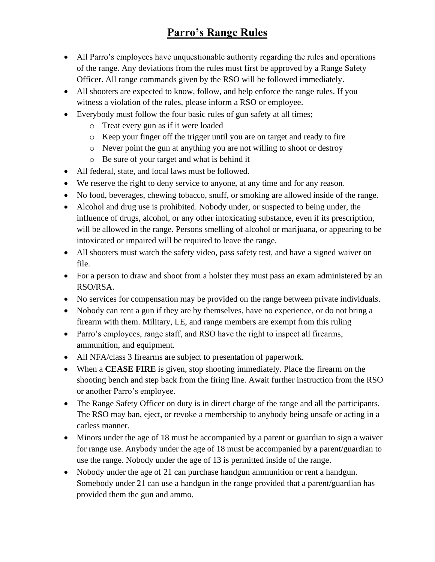## **Parro's Range Rules**

- All Parro's employees have unquestionable authority regarding the rules and operations of the range. Any deviations from the rules must first be approved by a Range Safety Officer. All range commands given by the RSO will be followed immediately.
- All shooters are expected to know, follow, and help enforce the range rules. If you witness a violation of the rules, please inform a RSO or employee.
- Everybody must follow the four basic rules of gun safety at all times;
	- o Treat every gun as if it were loaded
	- o Keep your finger off the trigger until you are on target and ready to fire
	- o Never point the gun at anything you are not willing to shoot or destroy
	- o Be sure of your target and what is behind it
- All federal, state, and local laws must be followed.
- We reserve the right to deny service to anyone, at any time and for any reason.
- No food, beverages, chewing tobacco, snuff, or smoking are allowed inside of the range.
- Alcohol and drug use is prohibited. Nobody under, or suspected to being under, the influence of drugs, alcohol, or any other intoxicating substance, even if its prescription, will be allowed in the range. Persons smelling of alcohol or marijuana, or appearing to be intoxicated or impaired will be required to leave the range.
- All shooters must watch the safety video, pass safety test, and have a signed waiver on file.
- For a person to draw and shoot from a holster they must pass an exam administered by an RSO/RSA.
- No services for compensation may be provided on the range between private individuals.
- Nobody can rent a gun if they are by themselves, have no experience, or do not bring a firearm with them. Military, LE, and range members are exempt from this ruling
- Parro's employees, range staff, and RSO have the right to inspect all firearms, ammunition, and equipment.
- All NFA/class 3 firearms are subject to presentation of paperwork.
- When a **CEASE FIRE** is given, stop shooting immediately. Place the firearm on the shooting bench and step back from the firing line. Await further instruction from the RSO or another Parro's employee.
- The Range Safety Officer on duty is in direct charge of the range and all the participants. The RSO may ban, eject, or revoke a membership to anybody being unsafe or acting in a carless manner.
- Minors under the age of 18 must be accompanied by a parent or guardian to sign a waiver for range use. Anybody under the age of 18 must be accompanied by a parent/guardian to use the range. Nobody under the age of 13 is permitted inside of the range.
- Nobody under the age of 21 can purchase handgun ammunition or rent a handgun. Somebody under 21 can use a handgun in the range provided that a parent/guardian has provided them the gun and ammo.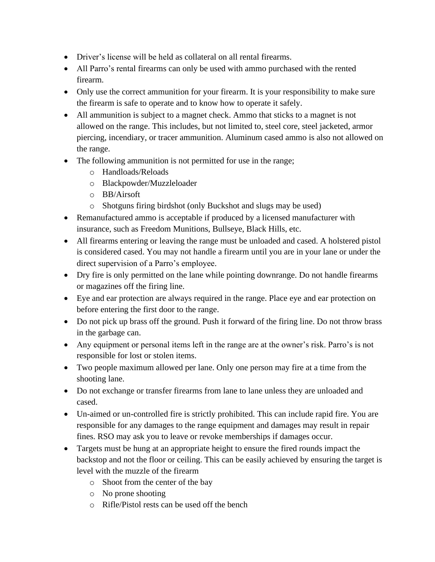- Driver's license will be held as collateral on all rental firearms.
- All Parro's rental firearms can only be used with ammo purchased with the rented firearm.
- Only use the correct ammunition for your firearm. It is your responsibility to make sure the firearm is safe to operate and to know how to operate it safely.
- All ammunition is subject to a magnet check. Ammo that sticks to a magnet is not allowed on the range. This includes, but not limited to, steel core, steel jacketed, armor piercing, incendiary, or tracer ammunition. Aluminum cased ammo is also not allowed on the range.
- The following ammunition is not permitted for use in the range;
	- o Handloads/Reloads
	- o Blackpowder/Muzzleloader
	- o BB/Airsoft
	- o Shotguns firing birdshot (only Buckshot and slugs may be used)
- Remanufactured ammo is acceptable if produced by a licensed manufacturer with insurance, such as Freedom Munitions, Bullseye, Black Hills, etc.
- All firearms entering or leaving the range must be unloaded and cased. A holstered pistol is considered cased. You may not handle a firearm until you are in your lane or under the direct supervision of a Parro's employee.
- Dry fire is only permitted on the lane while pointing downrange. Do not handle firearms or magazines off the firing line.
- Eye and ear protection are always required in the range. Place eye and ear protection on before entering the first door to the range.
- Do not pick up brass off the ground. Push it forward of the firing line. Do not throw brass in the garbage can.
- Any equipment or personal items left in the range are at the owner's risk. Parro's is not responsible for lost or stolen items.
- Two people maximum allowed per lane. Only one person may fire at a time from the shooting lane.
- Do not exchange or transfer firearms from lane to lane unless they are unloaded and cased.
- Un-aimed or un-controlled fire is strictly prohibited. This can include rapid fire. You are responsible for any damages to the range equipment and damages may result in repair fines. RSO may ask you to leave or revoke memberships if damages occur.
- Targets must be hung at an appropriate height to ensure the fired rounds impact the backstop and not the floor or ceiling. This can be easily achieved by ensuring the target is level with the muzzle of the firearm
	- o Shoot from the center of the bay
	- o No prone shooting
	- o Rifle/Pistol rests can be used off the bench